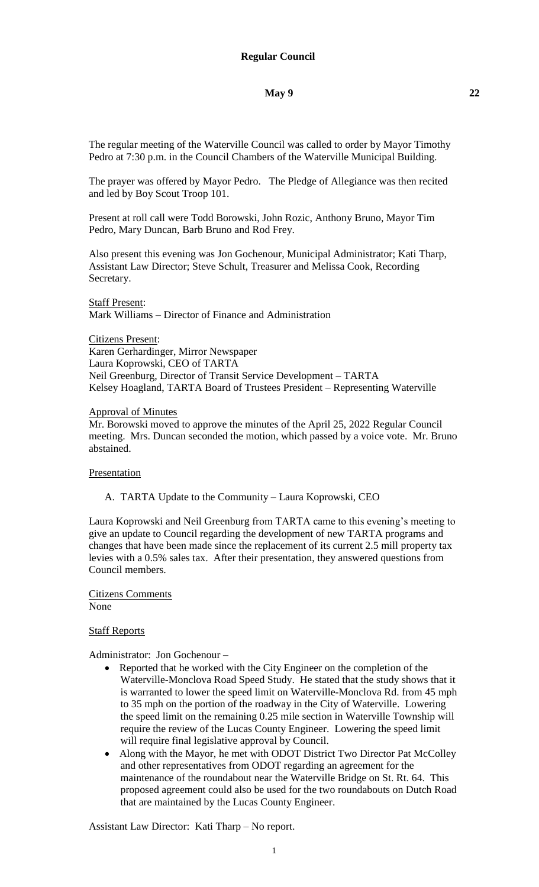The regular meeting of the Waterville Council was called to order by Mayor Timothy Pedro at 7:30 p.m. in the Council Chambers of the Waterville Municipal Building.

The prayer was offered by Mayor Pedro. The Pledge of Allegiance was then recited and led by Boy Scout Troop 101.

Present at roll call were Todd Borowski, John Rozic, Anthony Bruno, Mayor Tim Pedro, Mary Duncan, Barb Bruno and Rod Frey.

Also present this evening was Jon Gochenour, Municipal Administrator; Kati Tharp, Assistant Law Director; Steve Schult, Treasurer and Melissa Cook, Recording Secretary.

Staff Present: Mark Williams – Director of Finance and Administration

Citizens Present: Karen Gerhardinger, Mirror Newspaper Laura Koprowski, CEO of TARTA Neil Greenburg, Director of Transit Service Development – TARTA Kelsey Hoagland, TARTA Board of Trustees President – Representing Waterville

#### Approval of Minutes

Mr. Borowski moved to approve the minutes of the April 25, 2022 Regular Council meeting. Mrs. Duncan seconded the motion, which passed by a voice vote. Mr. Bruno abstained.

#### Presentation

A. TARTA Update to the Community – Laura Koprowski, CEO

Laura Koprowski and Neil Greenburg from TARTA came to this evening's meeting to give an update to Council regarding the development of new TARTA programs and changes that have been made since the replacement of its current 2.5 mill property tax levies with a 0.5% sales tax. After their presentation, they answered questions from Council members.

Citizens Comments None

### Staff Reports

Administrator: Jon Gochenour –

- Reported that he worked with the City Engineer on the completion of the Waterville-Monclova Road Speed Study. He stated that the study shows that it is warranted to lower the speed limit on Waterville-Monclova Rd. from 45 mph to 35 mph on the portion of the roadway in the City of Waterville. Lowering the speed limit on the remaining 0.25 mile section in Waterville Township will require the review of the Lucas County Engineer. Lowering the speed limit will require final legislative approval by Council.
- Along with the Mayor, he met with ODOT District Two Director Pat McColley and other representatives from ODOT regarding an agreement for the maintenance of the roundabout near the Waterville Bridge on St. Rt. 64. This proposed agreement could also be used for the two roundabouts on Dutch Road that are maintained by the Lucas County Engineer.

Assistant Law Director: Kati Tharp – No report.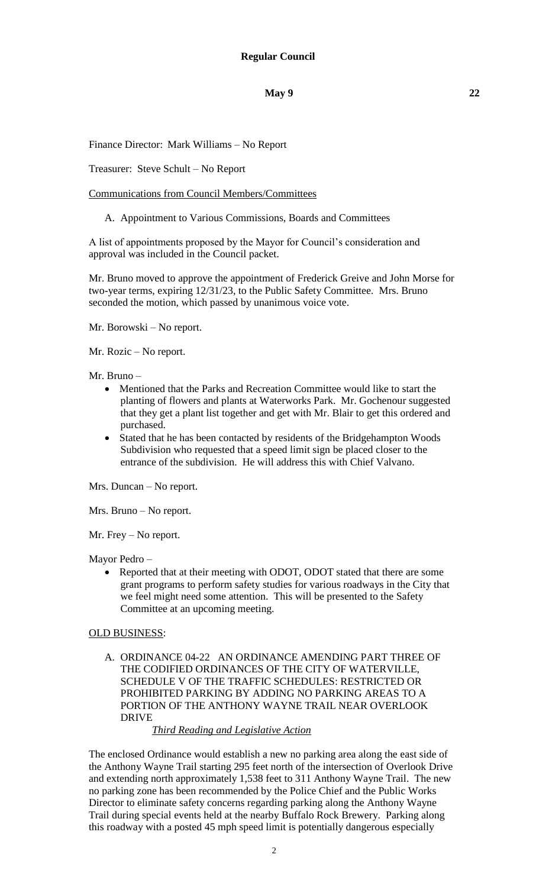Finance Director: Mark Williams – No Report

Treasurer: Steve Schult – No Report

Communications from Council Members/Committees

A. Appointment to Various Commissions, Boards and Committees

A list of appointments proposed by the Mayor for Council's consideration and approval was included in the Council packet.

Mr. Bruno moved to approve the appointment of Frederick Greive and John Morse for two-year terms, expiring 12/31/23, to the Public Safety Committee. Mrs. Bruno seconded the motion, which passed by unanimous voice vote.

Mr. Borowski – No report.

Mr. Rozic – No report.

#### Mr. Bruno –

- Mentioned that the Parks and Recreation Committee would like to start the planting of flowers and plants at Waterworks Park. Mr. Gochenour suggested that they get a plant list together and get with Mr. Blair to get this ordered and purchased.
- Stated that he has been contacted by residents of the Bridgehampton Woods Subdivision who requested that a speed limit sign be placed closer to the entrance of the subdivision. He will address this with Chief Valvano.

Mrs. Duncan – No report.

Mrs. Bruno – No report.

Mr. Frey – No report.

Mayor Pedro –

• Reported that at their meeting with ODOT, ODOT stated that there are some grant programs to perform safety studies for various roadways in the City that we feel might need some attention. This will be presented to the Safety Committee at an upcoming meeting.

#### OLD BUSINESS:

A. ORDINANCE 04-22 AN ORDINANCE AMENDING PART THREE OF THE CODIFIED ORDINANCES OF THE CITY OF WATERVILLE, SCHEDULE V OF THE TRAFFIC SCHEDULES: RESTRICTED OR PROHIBITED PARKING BY ADDING NO PARKING AREAS TO A PORTION OF THE ANTHONY WAYNE TRAIL NEAR OVERLOOK DRIVE

*Third Reading and Legislative Action*

The enclosed Ordinance would establish a new no parking area along the east side of the Anthony Wayne Trail starting 295 feet north of the intersection of Overlook Drive and extending north approximately 1,538 feet to 311 Anthony Wayne Trail. The new no parking zone has been recommended by the Police Chief and the Public Works Director to eliminate safety concerns regarding parking along the Anthony Wayne Trail during special events held at the nearby Buffalo Rock Brewery. Parking along this roadway with a posted 45 mph speed limit is potentially dangerous especially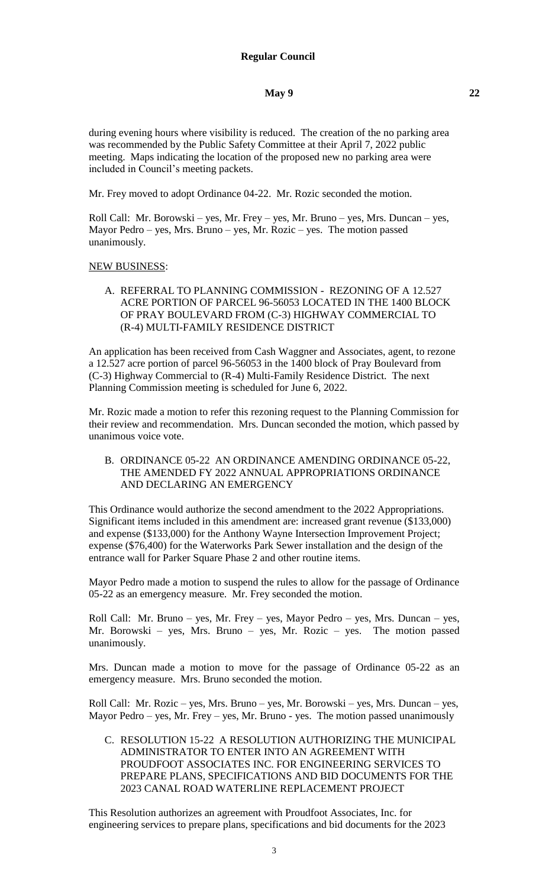during evening hours where visibility is reduced. The creation of the no parking area was recommended by the Public Safety Committee at their April 7, 2022 public meeting. Maps indicating the location of the proposed new no parking area were included in Council's meeting packets.

Mr. Frey moved to adopt Ordinance 04-22. Mr. Rozic seconded the motion.

Roll Call: Mr. Borowski – yes, Mr. Frey – yes, Mr. Bruno – yes, Mrs. Duncan – yes, Mayor Pedro – yes, Mrs. Bruno – yes, Mr. Rozic – yes. The motion passed unanimously.

### NEW BUSINESS:

A. REFERRAL TO PLANNING COMMISSION - REZONING OF A 12.527 ACRE PORTION OF PARCEL 96-56053 LOCATED IN THE 1400 BLOCK OF PRAY BOULEVARD FROM (C-3) HIGHWAY COMMERCIAL TO (R-4) MULTI-FAMILY RESIDENCE DISTRICT

An application has been received from Cash Waggner and Associates, agent, to rezone a 12.527 acre portion of parcel 96-56053 in the 1400 block of Pray Boulevard from (C-3) Highway Commercial to (R-4) Multi-Family Residence District. The next Planning Commission meeting is scheduled for June 6, 2022.

Mr. Rozic made a motion to refer this rezoning request to the Planning Commission for their review and recommendation. Mrs. Duncan seconded the motion, which passed by unanimous voice vote.

B. ORDINANCE 05-22 AN ORDINANCE AMENDING ORDINANCE 05-22, THE AMENDED FY 2022 ANNUAL APPROPRIATIONS ORDINANCE AND DECLARING AN EMERGENCY

This Ordinance would authorize the second amendment to the 2022 Appropriations. Significant items included in this amendment are: increased grant revenue (\$133,000) and expense (\$133,000) for the Anthony Wayne Intersection Improvement Project; expense (\$76,400) for the Waterworks Park Sewer installation and the design of the entrance wall for Parker Square Phase 2 and other routine items.

Mayor Pedro made a motion to suspend the rules to allow for the passage of Ordinance 05-22 as an emergency measure. Mr. Frey seconded the motion.

Roll Call: Mr. Bruno – yes, Mr. Frey – yes, Mayor Pedro – yes, Mrs. Duncan – yes, Mr. Borowski – yes, Mrs. Bruno – yes, Mr. Rozic – yes. The motion passed unanimously.

Mrs. Duncan made a motion to move for the passage of Ordinance 05-22 as an emergency measure. Mrs. Bruno seconded the motion.

Roll Call: Mr. Rozic – yes, Mrs. Bruno – yes, Mr. Borowski – yes, Mrs. Duncan – yes, Mayor Pedro – yes, Mr. Frey – yes, Mr. Bruno - yes. The motion passed unanimously

C. RESOLUTION 15-22 A RESOLUTION AUTHORIZING THE MUNICIPAL ADMINISTRATOR TO ENTER INTO AN AGREEMENT WITH PROUDFOOT ASSOCIATES INC. FOR ENGINEERING SERVICES TO PREPARE PLANS, SPECIFICATIONS AND BID DOCUMENTS FOR THE 2023 CANAL ROAD WATERLINE REPLACEMENT PROJECT

This Resolution authorizes an agreement with Proudfoot Associates, Inc. for engineering services to prepare plans, specifications and bid documents for the 2023